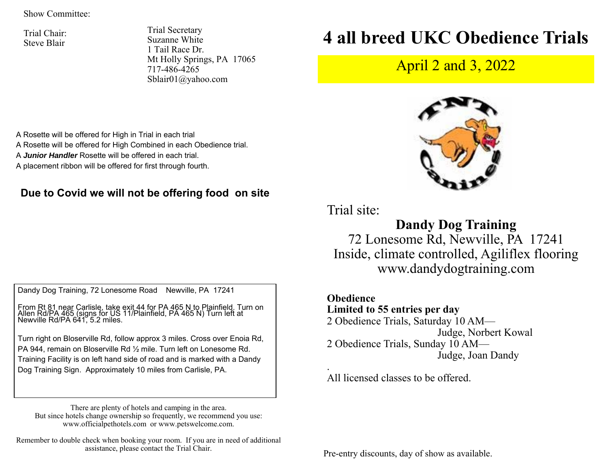Show Committee:

Trial Chair: Steve Blair

Trial Secretary Suzanne White 1 Tail Race Dr. Mt Holly Springs, PA 17065 717-486-4265 Sblair01@yahoo.com

## **4 all breed UKC Obedience Trials**

April 2 and 3, 2022



Trial site:

.

**Dandy Dog Training** 

72 Lonesome Rd, Newville, PA 17241 Inside, climate controlled, Agiliflex flooring www.dandydogtraining.com

**Obedience Limited to 55 entries per day**  2 Obedience Trials, Saturday 10 AM— Judge, Norbert Kowal 2 Obedience Trials, Sunday 10 AM— Judge, Joan Dandy

All licensed classes to be offered.

A Rosette will be offered for High in Trial in each trial

A Rosette will be offered for High Combined in each Obedience trial.

A *Junior Handler* Rosette will be offered in each trial.

A placement ribbon will be offered for first through fourth.

## **Due to Covid we will not be offering food on site**

Dandy Dog Training, 72 Lonesome Road Newville, PA 17241

From Rt 81 near Carlisle, take exit 44 for PA 465 N to Plainfield. Turn on<br>Allen Rd/PA 465 (signs for US 11/Plainfield, PA 465 N) Turn left at<br>Newville Rd/PA 641, 5.2 miles.

Turn right on Bloserville Rd, follow approx 3 miles. Cross over Enoia Rd, PA 944, remain on Bloserville Rd ½ mile. Turn left on Lonesome Rd. Training Facility is on left hand side of road and is marked with a Dandy Dog Training Sign. Approximately 10 miles from Carlisle, PA.

There are plenty of hotels and camping in the area. But since hotels change ownership so frequently, we recommend you use: www.officialpethotels.com or www.petswelcome.com.

Remember to double check when booking your room. If you are in need of additional assistance, please contact the Trial Chair.

Pre-entry discounts, day of show as available.